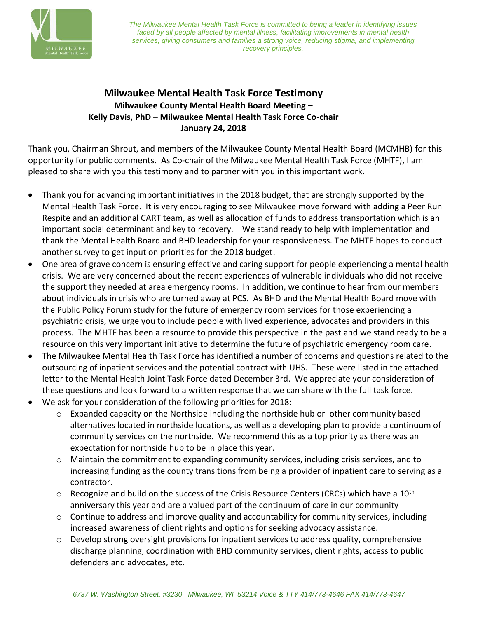

*The Milwaukee Mental Health Task Force is committed to being a leader in identifying issues faced by all people affected by mental illness, facilitating improvements in mental health services, giving consumers and families a strong voice, reducing stigma, and implementing recovery principles.*

## **Milwaukee Mental Health Task Force Testimony Milwaukee County Mental Health Board Meeting – Kelly Davis, PhD – Milwaukee Mental Health Task Force Co-chair January 24, 2018**

Thank you, Chairman Shrout, and members of the Milwaukee County Mental Health Board (MCMHB) for this opportunity for public comments. As Co-chair of the Milwaukee Mental Health Task Force (MHTF), I am pleased to share with you this testimony and to partner with you in this important work.

- Thank you for advancing important initiatives in the 2018 budget, that are strongly supported by the Mental Health Task Force. It is very encouraging to see Milwaukee move forward with adding a Peer Run Respite and an additional CART team, as well as allocation of funds to address transportation which is an important social determinant and key to recovery. We stand ready to help with implementation and thank the Mental Health Board and BHD leadership for your responsiveness. The MHTF hopes to conduct another survey to get input on priorities for the 2018 budget.
- One area of grave concern is ensuring effective and caring support for people experiencing a mental health crisis. We are very concerned about the recent experiences of vulnerable individuals who did not receive the support they needed at area emergency rooms. In addition, we continue to hear from our members about individuals in crisis who are turned away at PCS. As BHD and the Mental Health Board move with the Public Policy Forum study for the future of emergency room services for those experiencing a psychiatric crisis, we urge you to include people with lived experience, advocates and providers in this process. The MHTF has been a resource to provide this perspective in the past and we stand ready to be a resource on this very important initiative to determine the future of psychiatric emergency room care.
- The Milwaukee Mental Health Task Force has identified a number of concerns and questions related to the outsourcing of inpatient services and the potential contract with UHS. These were listed in the attached letter to the Mental Health Joint Task Force dated December 3rd. We appreciate your consideration of these questions and look forward to a written response that we can share with the full task force.
- We ask for your consideration of the following priorities for 2018:
	- $\circ$  Expanded capacity on the Northside including the northside hub or other community based alternatives located in northside locations, as well as a developing plan to provide a continuum of community services on the northside. We recommend this as a top priority as there was an expectation for northside hub to be in place this year.
	- $\circ$  Maintain the commitment to expanding community services, including crisis services, and to increasing funding as the county transitions from being a provider of inpatient care to serving as a contractor.
	- $\circ$  Recognize and build on the success of the Crisis Resource Centers (CRCs) which have a 10<sup>th</sup> anniversary this year and are a valued part of the continuum of care in our community
	- $\circ$  Continue to address and improve quality and accountability for community services, including increased awareness of client rights and options for seeking advocacy assistance.
	- $\circ$  Develop strong oversight provisions for inpatient services to address quality, comprehensive discharge planning, coordination with BHD community services, client rights, access to public defenders and advocates, etc.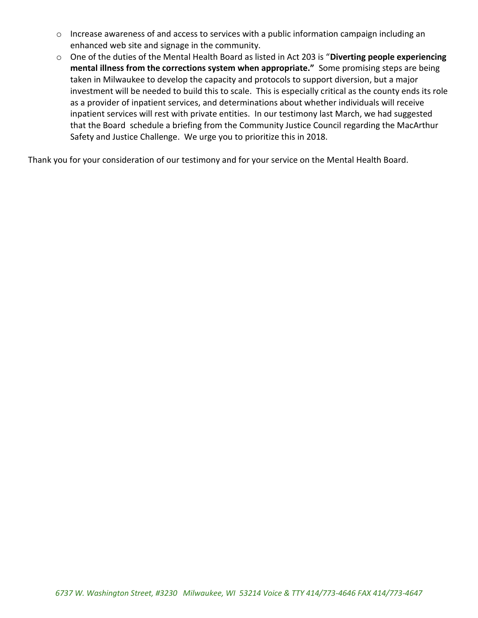- o Increase awareness of and access to services with a public information campaign including an enhanced web site and signage in the community.
- o One of the duties of the Mental Health Board as listed in Act 203 is "**Diverting people experiencing mental illness from the corrections system when appropriate."** Some promising steps are being taken in Milwaukee to develop the capacity and protocols to support diversion, but a major investment will be needed to build this to scale. This is especially critical as the county ends its role as a provider of inpatient services, and determinations about whether individuals will receive inpatient services will rest with private entities. In our testimony last March, we had suggested that the Board schedule a briefing from the Community Justice Council regarding the MacArthur Safety and Justice Challenge. We urge you to prioritize this in 2018.

Thank you for your consideration of our testimony and for your service on the Mental Health Board.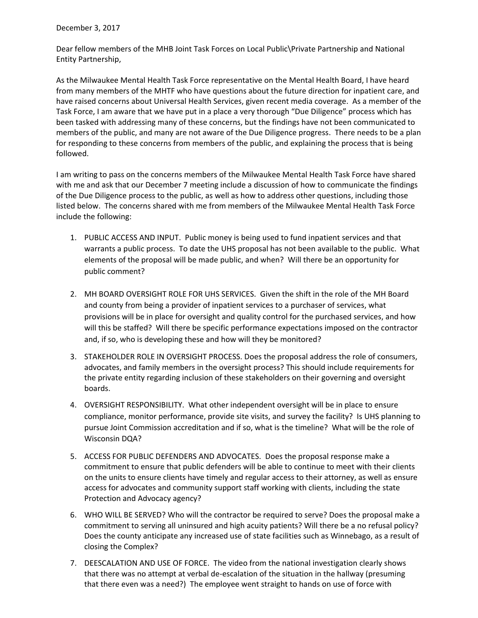December 3, 2017

Dear fellow members of the MHB Joint Task Forces on Local Public\Private Partnership and National Entity Partnership,

As the Milwaukee Mental Health Task Force representative on the Mental Health Board, I have heard from many members of the MHTF who have questions about the future direction for inpatient care, and have raised concerns about Universal Health Services, given recent media coverage. As a member of the Task Force, I am aware that we have put in a place a very thorough "Due Diligence" process which has been tasked with addressing many of these concerns, but the findings have not been communicated to members of the public, and many are not aware of the Due Diligence progress. There needs to be a plan for responding to these concerns from members of the public, and explaining the process that is being followed.

I am writing to pass on the concerns members of the Milwaukee Mental Health Task Force have shared with me and ask that our December 7 meeting include a discussion of how to communicate the findings of the Due Diligence process to the public, as well as how to address other questions, including those listed below. The concerns shared with me from members of the Milwaukee Mental Health Task Force include the following:

- 1. PUBLIC ACCESS AND INPUT. Public money is being used to fund inpatient services and that warrants a public process. To date the UHS proposal has not been available to the public. What elements of the proposal will be made public, and when? Will there be an opportunity for public comment?
- 2. MH BOARD OVERSIGHT ROLE FOR UHS SERVICES. Given the shift in the role of the MH Board and county from being a provider of inpatient services to a purchaser of services, what provisions will be in place for oversight and quality control for the purchased services, and how will this be staffed? Will there be specific performance expectations imposed on the contractor and, if so, who is developing these and how will they be monitored?
- 3. STAKEHOLDER ROLE IN OVERSIGHT PROCESS. Does the proposal address the role of consumers, advocates, and family members in the oversight process? This should include requirements for the private entity regarding inclusion of these stakeholders on their governing and oversight boards.
- 4. OVERSIGHT RESPONSIBILITY. What other independent oversight will be in place to ensure compliance, monitor performance, provide site visits, and survey the facility? Is UHS planning to pursue Joint Commission accreditation and if so, what is the timeline? What will be the role of Wisconsin DQA?
- 5. ACCESS FOR PUBLIC DEFENDERS AND ADVOCATES. Does the proposal response make a commitment to ensure that public defenders will be able to continue to meet with their clients on the units to ensure clients have timely and regular access to their attorney, as well as ensure access for advocates and community support staff working with clients, including the state Protection and Advocacy agency?
- 6. WHO WILL BE SERVED? Who will the contractor be required to serve? Does the proposal make a commitment to serving all uninsured and high acuity patients? Will there be a no refusal policy? Does the county anticipate any increased use of state facilities such as Winnebago, as a result of closing the Complex?
- 7. DEESCALATION AND USE OF FORCE. The video from the national investigation clearly shows that there was no attempt at verbal de-escalation of the situation in the hallway (presuming that there even was a need?) The employee went straight to hands on use of force with